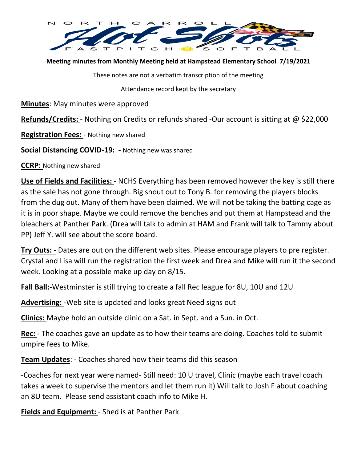

**Meeting minutes from Monthly Meeting held at Hampstead Elementary School 7/19/2021**

These notes are not a verbatim transcription of the meeting

Attendance record kept by the secretary

**Minutes**: May minutes were approved

**Refunds/Credits:** - Nothing on Credits or refunds shared -Our account is sitting at @ \$22,000

**Registration Fees:** - Nothing new shared

**Social Distancing COVID-19: -** Nothing new was shared

**CCRP:** Nothing new shared

**Use of Fields and Facilities:** - NCHS Everything has been removed however the key is still there as the sale has not gone through. Big shout out to Tony B. for removing the players blocks from the dug out. Many of them have been claimed. We will not be taking the batting cage as it is in poor shape. Maybe we could remove the benches and put them at Hampstead and the bleachers at Panther Park. (Drea will talk to admin at HAM and Frank will talk to Tammy about PP) Jeff Y. will see about the score board.

**Try Outs: -** Dates are out on the different web sites. Please encourage players to pre register. Crystal and Lisa will run the registration the first week and Drea and Mike will run it the second week. Looking at a possible make up day on 8/15.

**Fall Ball:**-Westminster is still trying to create a fall Rec league for 8U, 10U and 12U

**Advertising:** -Web site is updated and looks great Need signs out

**Clinics:** Maybe hold an outside clinic on a Sat. in Sept. and a Sun. in Oct.

**Rec:** - The coaches gave an update as to how their teams are doing. Coaches told to submit umpire fees to Mike.

**Team Updates**: - Coaches shared how their teams did this season

-Coaches for next year were named- Still need: 10 U travel, Clinic (maybe each travel coach takes a week to supervise the mentors and let them run it) Will talk to Josh F about coaching an 8U team. Please send assistant coach info to Mike H.

**Fields and Equipment:** - Shed is at Panther Park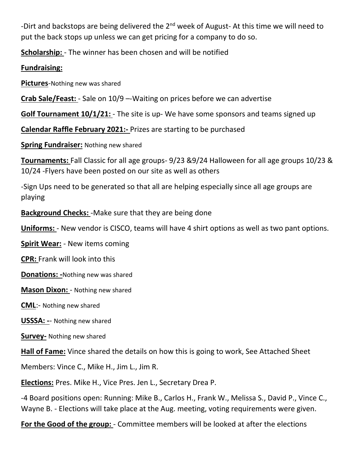-Dirt and backstops are being delivered the  $2<sup>nd</sup>$  week of August- At this time we will need to put the back stops up unless we can get pricing for a company to do so.

**Scholarship:** - The winner has been chosen and will be notified

**Fundraising:**

**Pictures**-Nothing new was shared

**Crab Sale/Feast:** - Sale on 10/9 –-Waiting on prices before we can advertise

**Golf Tournament 10/1/21:** - The site is up- We have some sponsors and teams signed up

**Calendar Raffle February 2021:-** Prizes are starting to be purchased

**Spring Fundraiser:** Nothing new shared

**Tournaments:** Fall Classic for all age groups- 9/23 &9/24 Halloween for all age groups 10/23 & 10/24 -Flyers have been posted on our site as well as others

-Sign Ups need to be generated so that all are helping especially since all age groups are playing

**Background Checks:** -Make sure that they are being done

**Uniforms:** - New vendor is CISCO, teams will have 4 shirt options as well as two pant options.

**Spirit Wear:** - New items coming

**CPR:** Frank will look into this

**Donations: -**Nothing new was shared

**Mason Dixon:** - Nothing new shared

**CML**:- Nothing new shared

**USSSA: -**- Nothing new shared

**Survey-** Nothing new shared

**Hall of Fame:** Vince shared the details on how this is going to work, See Attached Sheet

Members: Vince C., Mike H., Jim L., Jim R.

**Elections:** Pres. Mike H., Vice Pres. Jen L., Secretary Drea P.

-4 Board positions open: Running: Mike B., Carlos H., Frank W., Melissa S., David P., Vince C., Wayne B. - Elections will take place at the Aug. meeting, voting requirements were given.

**For the Good of the group:** - Committee members will be looked at after the elections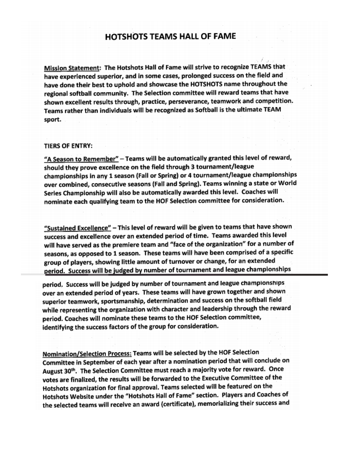## **HOTSHOTS TEAMS HALL OF FAME**

Mission Statement: The Hotshots Hall of Fame will strive to recognize TEAMS that have experienced superior, and in some cases, prolonged success on the field and have done their best to uphold and showcase the HOTSHOTS name throughout the regional softball community. The Selection committee will reward teams that have shown excellent results through, practice, perseverance, teamwork and competition. Teams rather than individuals will be recognized as Softball is the ultimate TEAM sport.

## **TIERS OF ENTRY:**

"A Season to Remember" - Teams will be automatically granted this level of reward, should they prove excellence on the field through 3 tournament/league championships in any 1 season (Fall or Spring) or 4 tournament/league championships over combined, consecutive seasons (Fall and Spring). Teams winning a state or World Series Championship will also be automatically awarded this level. Coaches will nominate each qualifying team to the HOF Selection committee for consideration.

"Sustained Excellence" - This level of reward will be given to teams that have shown success and excellence over an extended period of time. Teams awarded this level will have served as the premiere team and "face of the organization" for a number of seasons, as opposed to 1 season. These teams will have been comprised of a specific group of players, showing little amount of turnover or change, for an extended period. Success will be judged by number of tournament and league championships

period. Success will be judged by number of tournament and league championships over an extended period of years. These teams will have grown together and shown superior teamwork, sportsmanship, determination and success on the softball field while representing the organization with character and leadership through the reward period. Coaches will nominate these teams to the HOF Selection committee, identifying the success factors of the group for consideration.

Nomination/Selection Process: Teams will be selected by the HOF Selection Committee in September of each year after a nomination period that will conclude on August 30<sup>th</sup>. The Selection Committee must reach a majority vote for reward. Once votes are finalized, the results will be forwarded to the Executive Committee of the Hotshots organization for final approval. Teams selected will be featured on the Hotshots Website under the "Hotshots Hall of Fame" section. Players and Coaches of the selected teams will receive an award (certificate), memorializing their success and